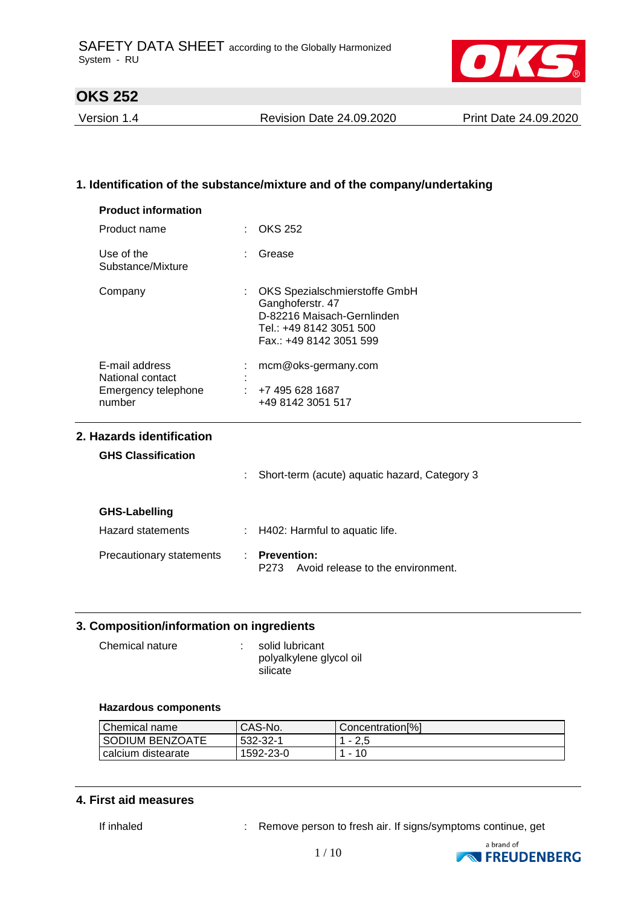

Version 1.4 Revision Date 24.09.2020 Print Date 24.09.2020

### **1. Identification of the substance/mixture and of the company/undertaking**

| Product name                       | $\therefore$ OKS 252                                                                                                                        |  |
|------------------------------------|---------------------------------------------------------------------------------------------------------------------------------------------|--|
| Use of the<br>Substance/Mixture    | Grease<br>t.                                                                                                                                |  |
| Company                            | OKS Spezialschmierstoffe GmbH<br>÷.<br>Ganghoferstr. 47<br>D-82216 Maisach-Gernlinden<br>Tel.: +49 8142 3051 500<br>Fax.: +49 8142 3051 599 |  |
| E-mail address<br>National contact | mcm@oks-germany.com                                                                                                                         |  |
| Emergency telephone                | $\div$ +7 495 628 1687                                                                                                                      |  |
| number                             | +49 8142 3051 517                                                                                                                           |  |

#### **GHS Classification**

|                          | Short-term (acute) aquatic hazard, Category 3                   |
|--------------------------|-----------------------------------------------------------------|
| GHS-Labelling            |                                                                 |
| <b>Hazard statements</b> | $\therefore$ H402: Harmful to aquatic life.                     |
| Precautionary statements | <b>Prevention:</b><br>Avoid release to the environment.<br>P273 |

### **3. Composition/information on ingredients**

| Chemical nature | solid lubricant                     |
|-----------------|-------------------------------------|
|                 | polyalkylene glycol oil<br>silicate |
|                 |                                     |

#### **Hazardous components**

| Chemical name      | CAS-No.   | Concentration <sup>[%]</sup> |
|--------------------|-----------|------------------------------|
| SODIUM BENZOATE    | 532-32-1  | $-2.5$                       |
| calcium distearate | 1592-23-0 | -10<br>$\sim$                |

#### **4. First aid measures**

If inhaled : Remove person to fresh air. If signs/symptoms continue, get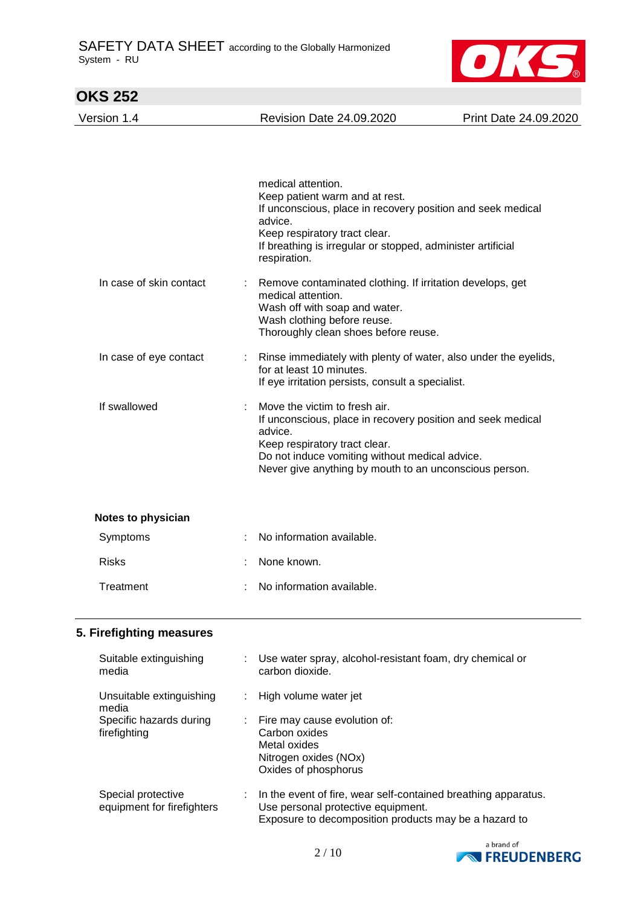

| <b>Revision Date 24.09.2020</b>                                                                                            | Print Date 24.09.2020                                                                                                                                                                                                                                                                                                                                                                                                                                                                                                        |
|----------------------------------------------------------------------------------------------------------------------------|------------------------------------------------------------------------------------------------------------------------------------------------------------------------------------------------------------------------------------------------------------------------------------------------------------------------------------------------------------------------------------------------------------------------------------------------------------------------------------------------------------------------------|
| medical attention.                                                                                                         |                                                                                                                                                                                                                                                                                                                                                                                                                                                                                                                              |
| advice.<br>Keep respiratory tract clear.<br>respiration.                                                                   |                                                                                                                                                                                                                                                                                                                                                                                                                                                                                                                              |
| medical attention.<br>Wash off with soap and water.<br>Wash clothing before reuse.<br>Thoroughly clean shoes before reuse. |                                                                                                                                                                                                                                                                                                                                                                                                                                                                                                                              |
| for at least 10 minutes.                                                                                                   |                                                                                                                                                                                                                                                                                                                                                                                                                                                                                                                              |
| Move the victim to fresh air.<br>advice.<br>Keep respiratory tract clear.                                                  |                                                                                                                                                                                                                                                                                                                                                                                                                                                                                                                              |
|                                                                                                                            |                                                                                                                                                                                                                                                                                                                                                                                                                                                                                                                              |
| No information available.                                                                                                  |                                                                                                                                                                                                                                                                                                                                                                                                                                                                                                                              |
| None known.                                                                                                                |                                                                                                                                                                                                                                                                                                                                                                                                                                                                                                                              |
| No information available.                                                                                                  |                                                                                                                                                                                                                                                                                                                                                                                                                                                                                                                              |
|                                                                                                                            | Keep patient warm and at rest.<br>If unconscious, place in recovery position and seek medical<br>If breathing is irregular or stopped, administer artificial<br>Remove contaminated clothing. If irritation develops, get<br>Rinse immediately with plenty of water, also under the eyelids,<br>If eye irritation persists, consult a specialist.<br>If unconscious, place in recovery position and seek medical<br>Do not induce vomiting without medical advice.<br>Never give anything by mouth to an unconscious person. |

### **5. Firefighting measures**

| Suitable extinguishing<br>media                  |    | Use water spray, alcohol-resistant foam, dry chemical or<br>carbon dioxide.                                                                                   |
|--------------------------------------------------|----|---------------------------------------------------------------------------------------------------------------------------------------------------------------|
| Unsuitable extinguishing<br>media                |    | High volume water jet                                                                                                                                         |
| Specific hazards during<br>firefighting          | ÷. | Fire may cause evolution of:<br>Carbon oxides<br>Metal oxides<br>Nitrogen oxides (NOx)<br>Oxides of phosphorus                                                |
| Special protective<br>equipment for firefighters |    | In the event of fire, wear self-contained breathing apparatus.<br>Use personal protective equipment.<br>Exposure to decomposition products may be a hazard to |

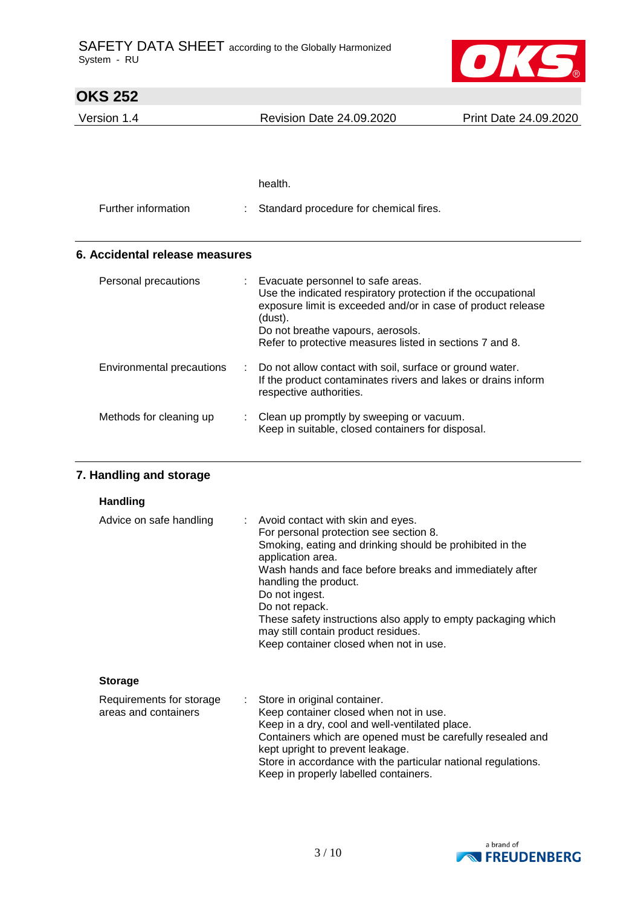

| <b>OKS 252</b>                 |   |                                                                                                                                                                                                                                                                               |                       |
|--------------------------------|---|-------------------------------------------------------------------------------------------------------------------------------------------------------------------------------------------------------------------------------------------------------------------------------|-----------------------|
| Version 1.4                    |   | <b>Revision Date 24.09.2020</b>                                                                                                                                                                                                                                               | Print Date 24.09.2020 |
|                                |   |                                                                                                                                                                                                                                                                               |                       |
|                                |   | health.                                                                                                                                                                                                                                                                       |                       |
| Further information            |   | Standard procedure for chemical fires.                                                                                                                                                                                                                                        |                       |
| 6. Accidental release measures |   |                                                                                                                                                                                                                                                                               |                       |
| Personal precautions           |   | Evacuate personnel to safe areas.<br>Use the indicated respiratory protection if the occupational<br>exposure limit is exceeded and/or in case of product release<br>(dust).<br>Do not breathe vapours, aerosols.<br>Refer to protective measures listed in sections 7 and 8. |                       |
| Environmental precautions      | ÷ | Do not allow contact with soil, surface or ground water.<br>If the product contaminates rivers and lakes or drains inform<br>respective authorities.                                                                                                                          |                       |
| Methods for cleaning up        |   | Clean up promptly by sweeping or vacuum.<br>Keep in suitable, closed containers for disposal.                                                                                                                                                                                 |                       |

### **7. Handling and storage**

| Advice on safe handling                          | : Avoid contact with skin and eyes.<br>For personal protection see section 8.<br>Smoking, eating and drinking should be prohibited in the<br>application area.<br>Wash hands and face before breaks and immediately after<br>handling the product.<br>Do not ingest.<br>Do not repack.<br>These safety instructions also apply to empty packaging which<br>may still contain product residues.<br>Keep container closed when not in use. |
|--------------------------------------------------|------------------------------------------------------------------------------------------------------------------------------------------------------------------------------------------------------------------------------------------------------------------------------------------------------------------------------------------------------------------------------------------------------------------------------------------|
| <b>Storage</b>                                   |                                                                                                                                                                                                                                                                                                                                                                                                                                          |
| Requirements for storage<br>areas and containers | : Store in original container.<br>Keep container closed when not in use.<br>Keep in a dry, cool and well-ventilated place.<br>Containers which are opened must be carefully resealed and<br>kept upright to prevent leakage.                                                                                                                                                                                                             |



Keep in properly labelled containers.

Store in accordance with the particular national regulations.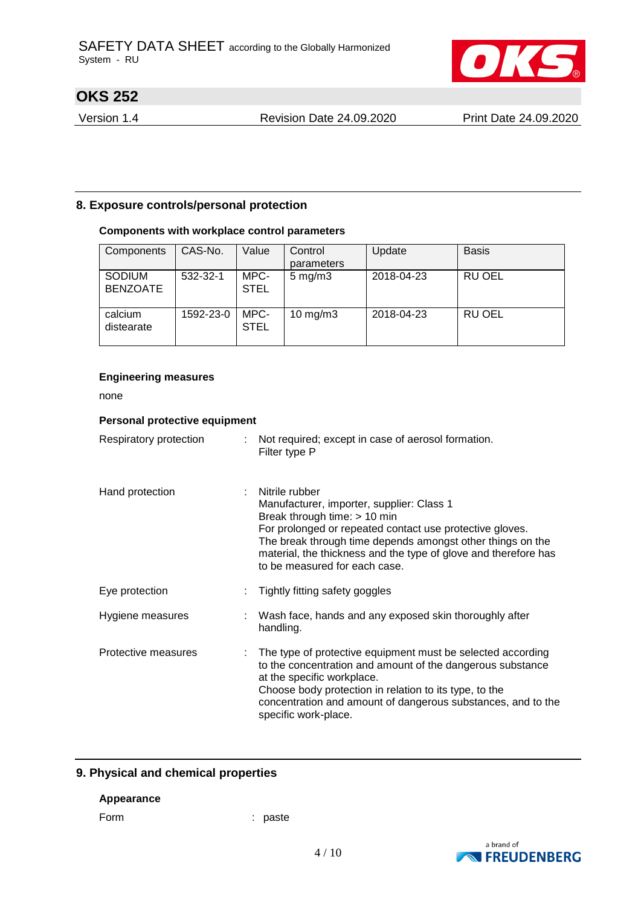

Version 1.4 Revision Date 24.09.2020 Print Date 24.09.2020

### **8. Exposure controls/personal protection**

### **Components with workplace control parameters**

| Components                       | CAS-No.   | Value               | Control<br>parameters | Update     | <b>Basis</b>  |
|----------------------------------|-----------|---------------------|-----------------------|------------|---------------|
| <b>SODIUM</b><br><b>BENZOATE</b> | 532-32-1  | MPC-<br><b>STEL</b> | $5 \,\mathrm{mg/m}$   | 2018-04-23 | <b>RU OEL</b> |
| calcium<br>distearate            | 1592-23-0 | MPC-<br><b>STEL</b> | 10 mg/m $3$           | 2018-04-23 | RU OEL        |

#### **Engineering measures**

none

| Personal protective equipment |                                                                                                                                                                                                                                                                                                                           |
|-------------------------------|---------------------------------------------------------------------------------------------------------------------------------------------------------------------------------------------------------------------------------------------------------------------------------------------------------------------------|
| Respiratory protection        | : Not required; except in case of aerosol formation.<br>Filter type P                                                                                                                                                                                                                                                     |
| Hand protection               | Nitrile rubber<br>Manufacturer, importer, supplier: Class 1<br>Break through time: > 10 min<br>For prolonged or repeated contact use protective gloves.<br>The break through time depends amongst other things on the<br>material, the thickness and the type of glove and therefore has<br>to be measured for each case. |
| Eye protection                | Tightly fitting safety goggles                                                                                                                                                                                                                                                                                            |
| Hygiene measures              | Wash face, hands and any exposed skin thoroughly after<br>handling.                                                                                                                                                                                                                                                       |
| Protective measures           | The type of protective equipment must be selected according<br>to the concentration and amount of the dangerous substance<br>at the specific workplace.<br>Choose body protection in relation to its type, to the<br>concentration and amount of dangerous substances, and to the<br>specific work-place.                 |

### **9. Physical and chemical properties**

#### **Appearance**

Form : paste

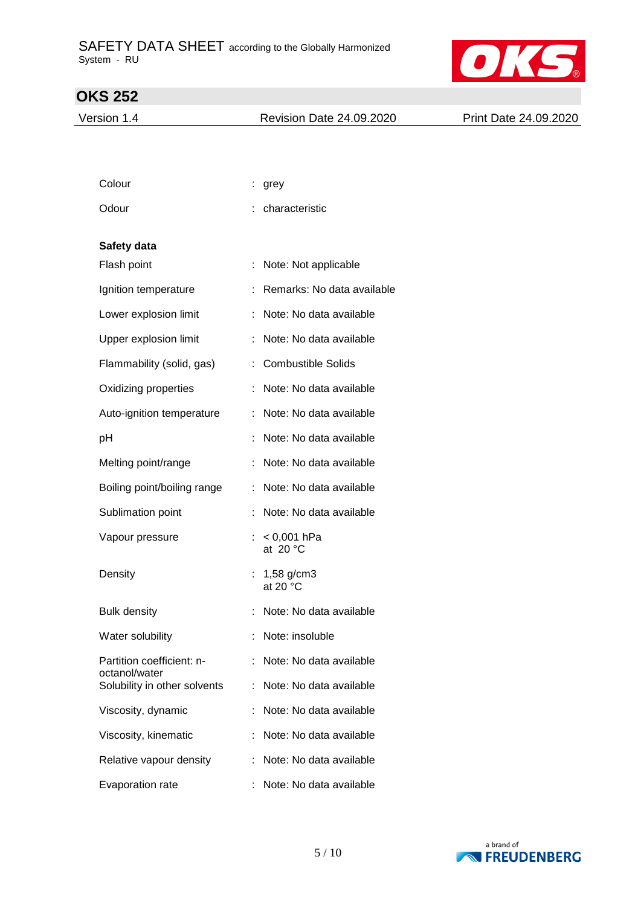

Version 1.4 Revision Date 24.09.2020 Print Date 24.09.2020

| Colour                                        | grey                                  |
|-----------------------------------------------|---------------------------------------|
| Odour                                         | characteristic                        |
| Safety data                                   |                                       |
| Flash point                                   | ÷<br>Note: Not applicable             |
| Ignition temperature                          | Remarks: No data available<br>÷       |
| Lower explosion limit                         | Note: No data available<br>÷          |
| Upper explosion limit                         | Note: No data available               |
| Flammability (solid, gas)                     | <b>Combustible Solids</b>             |
| Oxidizing properties                          | Note: No data available               |
| Auto-ignition temperature                     | Note: No data available               |
| pH                                            | Note: No data available               |
| Melting point/range                           | Note: No data available               |
| Boiling point/boiling range                   | Note: No data available               |
| Sublimation point                             | Note: No data available               |
| Vapour pressure                               | $< 0,001$ hPa<br>at $20 °C$           |
| Density                                       | 1,58 g/cm3<br>÷.<br>at 20 $\degree$ C |
| <b>Bulk density</b>                           | Note: No data available               |
| Water solubility                              | Note: insoluble                       |
| Partition coefficient: n-                     | : Note: No data available             |
| octanol/water<br>Solubility in other solvents | Note: No data available               |
| Viscosity, dynamic                            | Note: No data available               |
| Viscosity, kinematic                          | Note: No data available               |
| Relative vapour density                       | Note: No data available               |
| Evaporation rate                              | Note: No data available               |

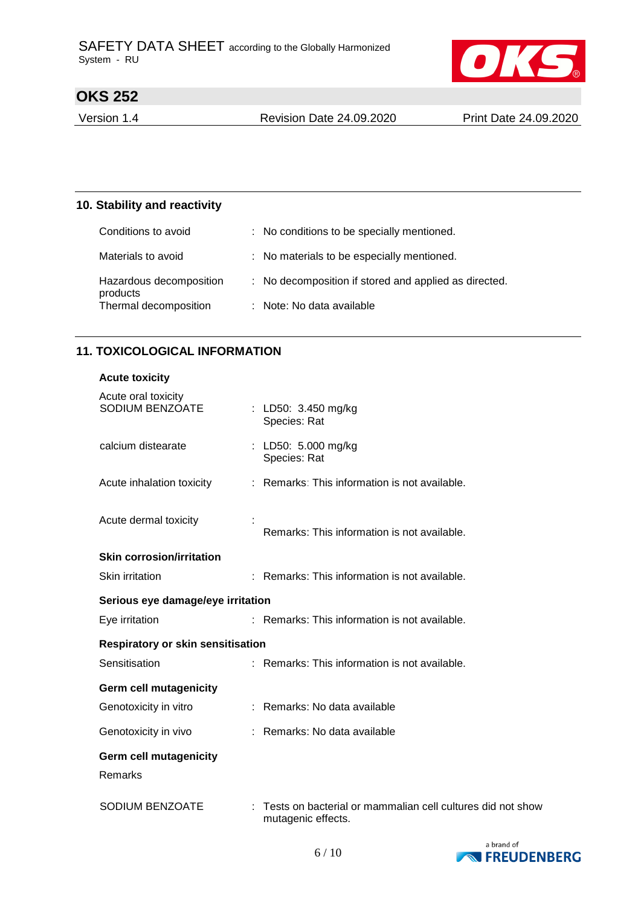

Version 1.4 Revision Date 24.09.2020 Print Date 24.09.2020

#### **10. Stability and reactivity**

| Conditions to avoid                                          | : No conditions to be specially mentioned.            |
|--------------------------------------------------------------|-------------------------------------------------------|
| Materials to avoid                                           | : No materials to be especially mentioned.            |
| Hazardous decomposition<br>products<br>Thermal decomposition | : No decomposition if stored and applied as directed. |
|                                                              | : Note: No data available                             |

### **11. TOXICOLOGICAL INFORMATION**

#### **Acute toxicity**

| Acute oral toxicity<br>SODIUM BENZOATE   |  | : LD50: $3.450 \text{ mg/kg}$<br>Species: Rat                                    |
|------------------------------------------|--|----------------------------------------------------------------------------------|
| calcium distearate                       |  | : LD50: 5.000 mg/kg<br>Species: Rat                                              |
| Acute inhalation toxicity                |  | : Remarks: This information is not available.                                    |
| Acute dermal toxicity                    |  | Remarks: This information is not available.                                      |
| <b>Skin corrosion/irritation</b>         |  |                                                                                  |
| Skin irritation                          |  | : Remarks: This information is not available.                                    |
| Serious eye damage/eye irritation        |  |                                                                                  |
| Eye irritation                           |  | : Remarks: This information is not available.                                    |
| <b>Respiratory or skin sensitisation</b> |  |                                                                                  |
| Sensitisation                            |  | : Remarks: This information is not available.                                    |
| <b>Germ cell mutagenicity</b>            |  |                                                                                  |
| Genotoxicity in vitro                    |  | : Remarks: No data available                                                     |
| Genotoxicity in vivo                     |  | : Remarks: No data available                                                     |
| <b>Germ cell mutagenicity</b><br>Remarks |  |                                                                                  |
| <b>SODIUM BENZOATE</b>                   |  | Tests on bacterial or mammalian cell cultures did not show<br>mutagenic effects. |

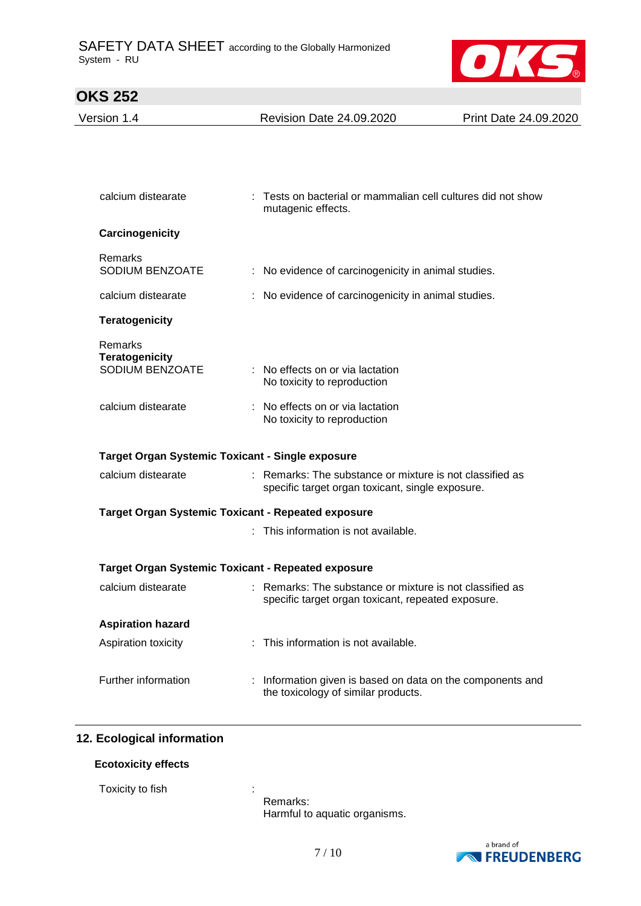

| Version 1.4                                               | <b>Revision Date 24.09.2020</b>                                                                                | Print Date 24.09.2020 |
|-----------------------------------------------------------|----------------------------------------------------------------------------------------------------------------|-----------------------|
|                                                           |                                                                                                                |                       |
|                                                           |                                                                                                                |                       |
|                                                           |                                                                                                                |                       |
| calcium distearate                                        | : Tests on bacterial or mammalian cell cultures did not show<br>mutagenic effects.                             |                       |
| Carcinogenicity                                           |                                                                                                                |                       |
| Remarks                                                   |                                                                                                                |                       |
| SODIUM BENZOATE                                           | : No evidence of carcinogenicity in animal studies.                                                            |                       |
| calcium distearate                                        | : No evidence of carcinogenicity in animal studies.                                                            |                       |
| <b>Teratogenicity</b>                                     |                                                                                                                |                       |
| Remarks                                                   |                                                                                                                |                       |
| <b>Teratogenicity</b>                                     |                                                                                                                |                       |
| SODIUM BENZOATE                                           | : No effects on or via lactation<br>No toxicity to reproduction                                                |                       |
| calcium distearate                                        | : No effects on or via lactation                                                                               |                       |
|                                                           | No toxicity to reproduction                                                                                    |                       |
| Target Organ Systemic Toxicant - Single exposure          |                                                                                                                |                       |
| calcium distearate                                        | : Remarks: The substance or mixture is not classified as                                                       |                       |
|                                                           | specific target organ toxicant, single exposure.                                                               |                       |
| <b>Target Organ Systemic Toxicant - Repeated exposure</b> |                                                                                                                |                       |
|                                                           | : This information is not available.                                                                           |                       |
| <b>Target Organ Systemic Toxicant - Repeated exposure</b> |                                                                                                                |                       |
| calcium distearate                                        |                                                                                                                |                       |
|                                                           | : Remarks: The substance or mixture is not classified as<br>specific target organ toxicant, repeated exposure. |                       |
| <b>Aspiration hazard</b>                                  |                                                                                                                |                       |
| Aspiration toxicity                                       | This information is not available.                                                                             |                       |
|                                                           |                                                                                                                |                       |
| Further information                                       | Information given is based on data on the components and<br>the toxicology of similar products.                |                       |
|                                                           |                                                                                                                |                       |

### **12. Ecological information**

#### **Ecotoxicity effects**

Toxicity to fish the state of the state of the state  $\mathbf{r}$ :

Remarks: Harmful to aquatic organisms.

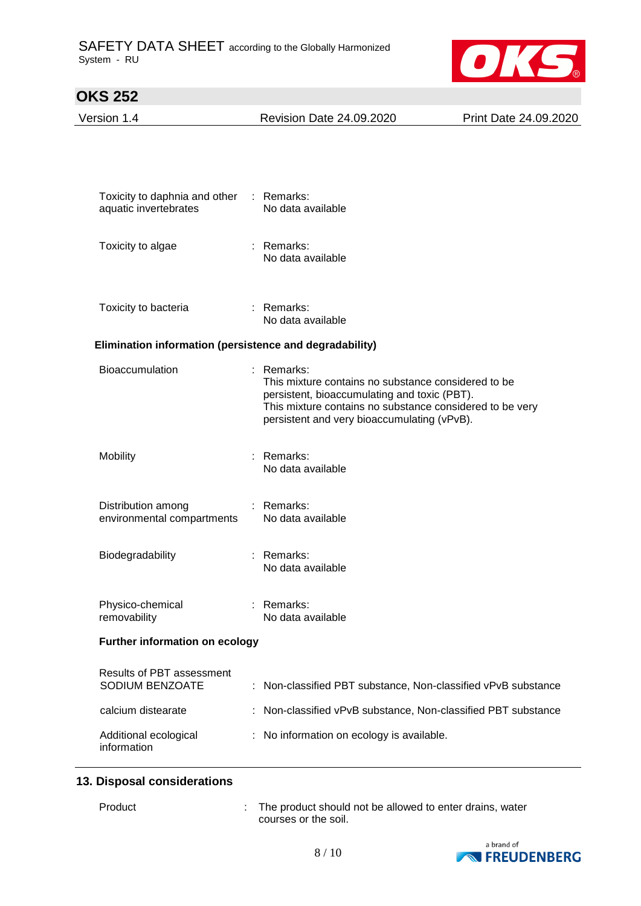

| Version 1.4                                             | <b>Revision Date 24.09.2020</b>                                                                                                                                                                                              | Print Date 24.09.2020 |  |
|---------------------------------------------------------|------------------------------------------------------------------------------------------------------------------------------------------------------------------------------------------------------------------------------|-----------------------|--|
|                                                         |                                                                                                                                                                                                                              |                       |  |
| Toxicity to daphnia and other<br>aquatic invertebrates  | : Remarks:<br>No data available                                                                                                                                                                                              |                       |  |
| Toxicity to algae                                       | $:$ Remarks:<br>No data available                                                                                                                                                                                            |                       |  |
| Toxicity to bacteria                                    | : Remarks:<br>No data available                                                                                                                                                                                              |                       |  |
| Elimination information (persistence and degradability) |                                                                                                                                                                                                                              |                       |  |
| Bioaccumulation                                         | : Remarks:<br>This mixture contains no substance considered to be<br>persistent, bioaccumulating and toxic (PBT).<br>This mixture contains no substance considered to be very<br>persistent and very bioaccumulating (vPvB). |                       |  |
| Mobility                                                | Remarks:<br>No data available                                                                                                                                                                                                |                       |  |
| Distribution among<br>environmental compartments        | $:$ Remarks:<br>No data available                                                                                                                                                                                            |                       |  |
| Biodegradability                                        | $:$ Remarks:<br>No data available                                                                                                                                                                                            |                       |  |
| Physico-chemical<br>removability                        | Remarks:<br>No data available                                                                                                                                                                                                |                       |  |
| Further information on ecology                          |                                                                                                                                                                                                                              |                       |  |
| Results of PBT assessment<br>SODIUM BENZOATE            | Non-classified PBT substance, Non-classified vPvB substance<br>÷                                                                                                                                                             |                       |  |
| calcium distearate                                      | Non-classified vPvB substance, Non-classified PBT substance                                                                                                                                                                  |                       |  |
| Additional ecological<br>information                    | No information on ecology is available.                                                                                                                                                                                      |                       |  |

#### **13. Disposal considerations**

Product : The product should not be allowed to enter drains, water courses or the soil.

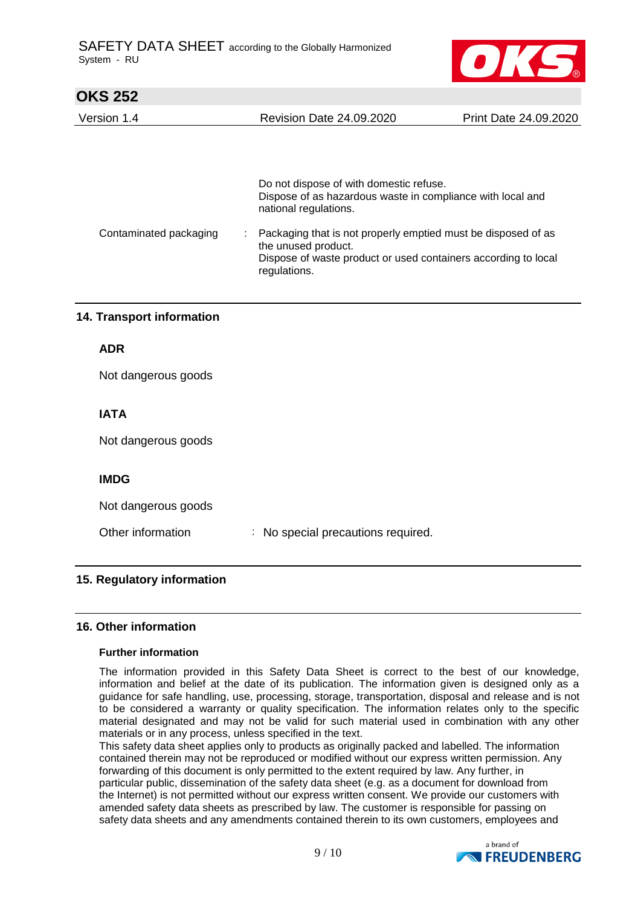

| Version 1.4 | <b>Revision Date 24.09.2020</b> | Print Date 24.09.2020 |
|-------------|---------------------------------|-----------------------|
|             |                                 |                       |

|                        | Do not dispose of with domestic refuse.<br>Dispose of as hazardous waste in compliance with local and<br>national regulations.                                         |
|------------------------|------------------------------------------------------------------------------------------------------------------------------------------------------------------------|
| Contaminated packaging | Packaging that is not properly emptied must be disposed of as<br>the unused product.<br>Dispose of waste product or used containers according to local<br>regulations. |

### **14. Transport information**

#### **ADR**

Not dangerous goods

### **IATA**

Not dangerous goods

### **IMDG**

Not dangerous goods

Other information : No special precautions required.

### **15. Regulatory information**

#### **16. Other information**

#### **Further information**

The information provided in this Safety Data Sheet is correct to the best of our knowledge, information and belief at the date of its publication. The information given is designed only as a guidance for safe handling, use, processing, storage, transportation, disposal and release and is not to be considered a warranty or quality specification. The information relates only to the specific material designated and may not be valid for such material used in combination with any other materials or in any process, unless specified in the text.

This safety data sheet applies only to products as originally packed and labelled. The information contained therein may not be reproduced or modified without our express written permission. Any forwarding of this document is only permitted to the extent required by law. Any further, in particular public, dissemination of the safety data sheet (e.g. as a document for download from the Internet) is not permitted without our express written consent. We provide our customers with amended safety data sheets as prescribed by law. The customer is responsible for passing on safety data sheets and any amendments contained therein to its own customers, employees and